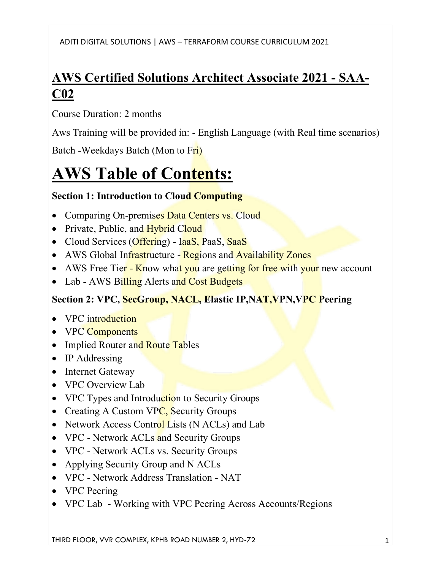## **AWS Certified Solutions Architect Associate 2021 - SAA-C02**

Course Duration: 2 months

Aws Training will be provided in: - English Language (with Real time scenarios)

Batch -Weekdays Batch (Mon to Fri)

# **AWS Table of Contents:**

## **Section 1: Introduction to Cloud Computing**

- Comparing On-premises Data Centers vs. Cloud
- Private, Public, and Hybrid Cloud
- Cloud Services (Offering) IaaS, PaaS, SaaS
- AWS Global Infrastructure Regions and Availability Zones
- AWS Free Tier Know what you are getting for free with your new account
- Lab AWS Billing Alerts and Cost Budgets

## **Section 2: VPC, SecGroup, NACL, Elastic IP,NAT,VPN,VPC Peering**

- VPC introduction
- VPC Components
- Implied Router and Route Tables
- IP Addressing
- Internet Gateway
- VPC Overview Lab
- VPC Types and Introduction to Security Groups
- Creating A Custom VPC, Security Groups
- Network Access Control Lists (N ACLs) and Lab
- VPC Network ACLs and Security Groups
- VPC Network ACLs vs. Security Groups
- Applying Security Group and N ACLs
- VPC Network Address Translation NAT
- VPC Peering
- VPC Lab Working with VPC Peering Across Accounts/Regions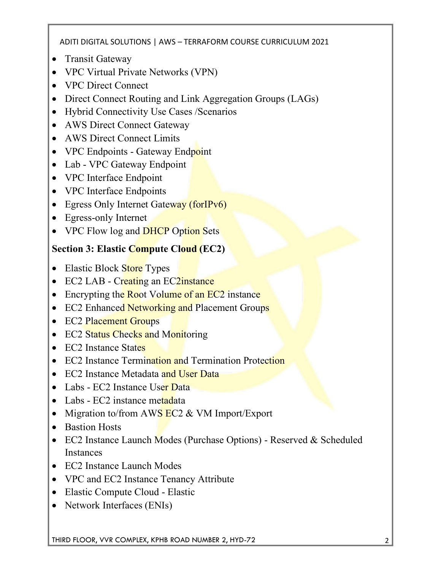- Transit Gateway
- VPC Virtual Private Networks (VPN)
- VPC Direct Connect
- Direct Connect Routing and Link Aggregation Groups (LAGs)
- Hybrid Connectivity Use Cases /Scenarios
- AWS Direct Connect Gateway
- AWS Direct Connect Limits
- VPC Endpoints Gateway Endpoint
- Lab VPC Gateway Endpoint
- VPC Interface Endpoint
- VPC Interface Endpoints
- Egress Only Internet Gateway (forIPv6)
- Egress-only Internet
- VPC Flow log and **DHCP** Option Sets

## **Section 3: Elastic Compute Cloud (EC2)**

- Elastic Block Store Types
- EC2 LAB Creating an EC2 instance
- Encrypting the Root Volume of an EC2 instance
- EC2 Enhanced Networking and Placement Groups
- EC2 Placement Groups
- EC2 Status Checks and Monitoring
- EC2 Instance States
- EC2 Instance Termination and Termination Protection
- EC2 Instance Metadata and User Data
- Labs EC2 Instance User Data
- Labs EC2 instance metadata
- Migration to/from AWS  $EC2 \& VM$  Import/Export
- Bastion Hosts
- EC2 Instance Launch Modes (Purchase Options) Reserved & Scheduled Instances
- EC2 Instance Launch Modes
- VPC and EC2 Instance Tenancy Attribute
- Elastic Compute Cloud Elastic
- Network Interfaces (ENIs)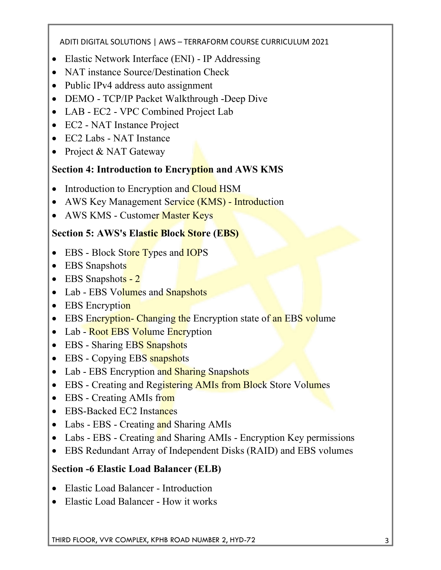- Elastic Network Interface (ENI) IP Addressing
- NAT instance Source/Destination Check
- Public IPv4 address auto assignment
- DEMO TCP/IP Packet Walkthrough -Deep Dive
- LAB EC2 VPC Combined Project Lab
- EC2 NAT Instance Project
- EC2 Labs NAT Instance
- Project & NAT Gateway

## **Section 4: Introduction to Encryption and AWS KMS**

- Introduction to Encryption and **Cloud HSM**
- AWS Key Management Service (KMS) Introduction
- AWS KMS Customer Master Keys

## **Section 5: AWS's Elastic Block Store (EBS)**

- EBS Block Store Types and IOPS
- EBS Snapshots
- EBS Snapshots 2
- Lab EBS Volumes and Snapshots
- EBS Encryption
- EBS Encryption- Changing the Encryption state of an EBS volume
- Lab Root EBS Volume Encryption
- EBS Sharing EBS Snapshots
- EBS Copying EBS snapshots
- Lab EBS Encryption and Sharing Snapshots
- EBS Creating and Registering AMIs from Block Store Volumes
- EBS Creating AMIs from
- EBS-Backed EC2 Instances
- Labs EBS Creating and Sharing AMIs
- Labs EBS Creating and Sharing AMIs Encryption Key permissions
- EBS Redundant Array of Independent Disks (RAID) and EBS volumes

## **Section -6 Elastic Load Balancer (ELB)**

- Elastic Load Balancer Introduction
- Elastic Load Balancer How it works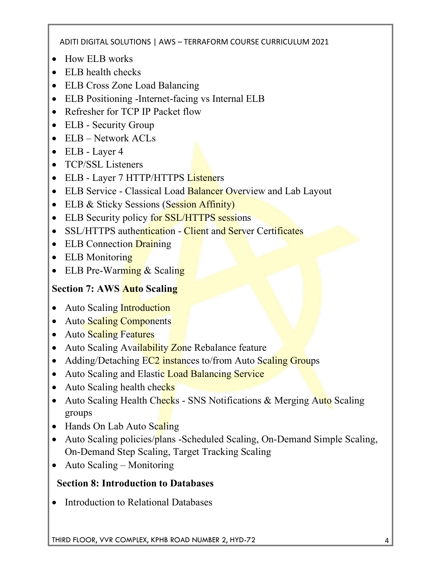- How ELB works
- ELB health checks
- ELB Cross Zone Load Balancing
- ELB Positioning -Internet-facing vs Internal ELB
- Refresher for TCP IP Packet flow
- ELB Security Group
- ELB Network ACLs
- ELB Layer 4
- TCP/SSL Listeners
- ELB Layer 7 HTTP/HTTPS Listeners
- ELB Service Classical Load Balancer Overview and Lab Layout
- ELB & Sticky Sessions (Session Affinity)
- ELB Security policy for SSL/HTTPS sessions
- SSL/HTTPS authentication Client and Server Certificates
- ELB Connection Draining
- ELB Monitoring
- ELB Pre-Warming & Scaling

## **Section 7: AWS Auto Scaling**

- Auto Scaling Introduction
- Auto Scaling Components
- Auto Scaling Features
- Auto Scaling Availability Zone Rebalance feature
- Adding/Detaching EC2 instances to/from Auto Scaling Groups
- Auto Scaling and Elastic Load Balancing Service
- Auto Scaling health checks
- Auto Scaling Health Checks SNS Notifications & Merging Auto Scaling groups
- Hands On Lab Auto Scaling
- Auto Scaling policies/plans -Scheduled Scaling, On-Demand Simple Scaling, On-Demand Step Scaling, Target Tracking Scaling
- Auto Scaling Monitoring

## **Section 8: Introduction to Databases**

• Introduction to Relational Databases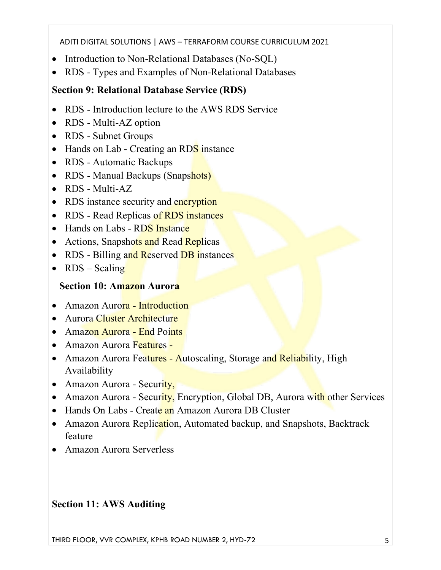- Introduction to Non-Relational Databases (No-SQL)
- RDS Types and Examples of Non-Relational Databases

#### **Section 9: Relational Database Service (RDS)**

- RDS Introduction lecture to the AWS RDS Service
- RDS Multi-AZ option
- RDS Subnet Groups
- Hands on Lab Creating an RDS instance
- RDS Automatic Backups
- RDS Manual Backups (Snapshots)
- RDS Multi-AZ
- RDS instance security and encryption
- RDS Read Replicas of RDS instances
- Hands on Labs RDS Instance
- Actions, Snapshots and Read Replicas
- RDS Billing and Reserved DB instances
- $RDS Scaling$

#### **Section 10: Amazon Aurora**

- Amazon Aurora Introduction
- Aurora Cluster Architecture
- Amazon Aurora End Points
- Amazon Aurora Features -
- Amazon Aurora Features Autoscaling, Storage and Reliability, High Availability
- Amazon Aurora Security,
- Amazon Aurora Security, Encryption, Global DB, Aurora with other Services
- Hands On Labs Create an Amazon Aurora DB Cluster
- Amazon Aurora Replication, Automated backup, and Snapshots, Backtrack feature
- Amazon Aurora Serverless

#### **Section 11: AWS Auditing**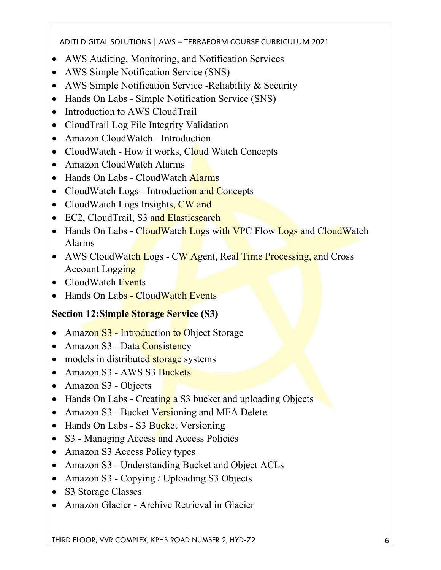- AWS Auditing, Monitoring, and Notification Services
- AWS Simple Notification Service (SNS)
- AWS Simple Notification Service -Reliability & Security
- Hands On Labs Simple Notification Service (SNS)
- Introduction to AWS CloudTrail
- CloudTrail Log File Integrity Validation
- Amazon CloudWatch Introduction
- CloudWatch How it works, Cloud Watch Concepts
- Amazon CloudWatch Alarms
- Hands On Labs CloudWatch Alarms
- CloudWatch Logs Introduction and Concepts
- CloudWatch Logs Insights, CW and
- EC2, CloudTrail, S3 and Elasticsearch
- Hands On Labs CloudWatch Logs with VPC Flow Logs and CloudWatch Alarms
- AWS CloudWatch Logs CW Agent, Real Time Processing, and Cross Account Logging
- CloudWatch Events
- Hands On Labs Cloud Watch Events

#### **Section 12:Simple Storage Service (S3)**

- Amazon S3 Introduction to Object Storage
- Amazon S3 Data Consistency
- models in distributed storage systems
- Amazon S3 AWS S3 Buckets
- Amazon S3 Objects
- Hands On Labs Creating a S3 bucket and uploading Objects
- Amazon S3 Bucket Versioning and MFA Delete
- Hands On Labs S3 Bucket Versioning
- S3 Managing Access and Access Policies
- Amazon S3 Access Policy types
- Amazon S3 Understanding Bucket and Object ACLs
- Amazon S3 Copying / Uploading S3 Objects
- S3 Storage Classes
- Amazon Glacier Archive Retrieval in Glacier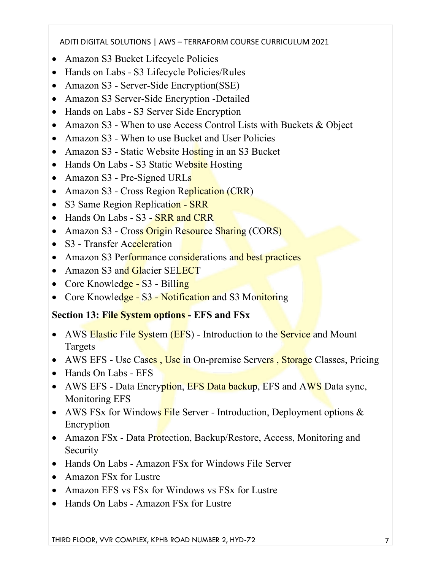- Amazon S3 Bucket Lifecycle Policies
- Hands on Labs S3 Lifecycle Policies/Rules
- Amazon S3 Server-Side Encryption(SSE)
- Amazon S3 Server-Side Encryption -Detailed
- Hands on Labs S3 Server Side Encryption
- Amazon S3 When to use Access Control Lists with Buckets & Object
- Amazon S3 When to use Bucket and User Policies
- Amazon S3 Static Website Hosting in an S3 Bucket
- Hands On Labs S3 Static Website Hosting
- Amazon S3 Pre-Signed URLs
- Amazon S3 Cross Region Replication (CRR)
- S3 Same Region Replication SRR
- Hands On Labs S3 SRR and CRR
- Amazon S3 Cross Origin Resource Sharing (CORS)
- S3 Transfer Acceleration
- Amazon S3 Performance considerations and best practices
- Amazon S3 and Glacier SELECT
- Core Knowledge S3 Billing
- Core Knowledge S3 Notification and S3 Monitoring

#### **Section 13: File System options - EFS and FSx**

- AWS Elastic File System (EFS) Introduction to the Service and Mount Targets
- AWS EFS Use Cases, Use in On-premise Servers, Storage Classes, Pricing
- Hands On Labs EFS
- AWS EFS Data Encryption, EFS Data backup, EFS and AWS Data sync, Monitoring EFS
- AWS FSx for Windows File Server Introduction, Deployment options  $\&$ Encryption
- Amazon FSx Data Protection, Backup/Restore, Access, Monitoring and **Security**
- Hands On Labs Amazon FSx for Windows File Server
- Amazon FSx for Lustre
- Amazon EFS vs FSx for Windows vs FSx for Lustre
- Hands On Labs Amazon FSx for Lustre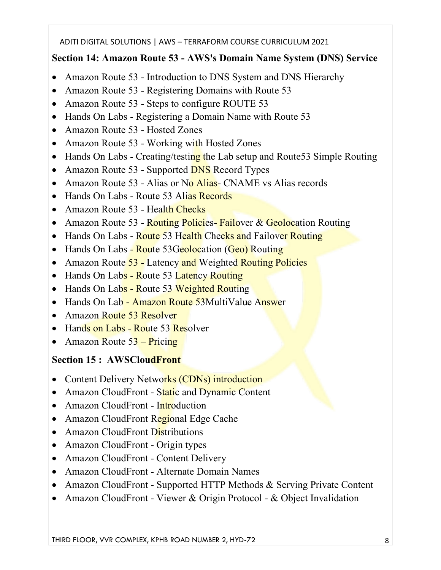#### **Section 14: Amazon Route 53 - AWS's Domain Name System (DNS) Service**

- Amazon Route 53 Introduction to DNS System and DNS Hierarchy
- Amazon Route 53 Registering Domains with Route 53
- Amazon Route 53 Steps to configure ROUTE 53
- Hands On Labs Registering a Domain Name with Route 53
- Amazon Route 53 Hosted Zones
- Amazon Route 53 Working with Hosted Zones
- Hands On Labs Creating/testing the Lab setup and Route 53 Simple Routing
- Amazon Route 53 Supported **DNS** Record Types
- Amazon Route 53 Alias or No Alias CNAME vs Alias records
- Hands On Labs Route 53 Alias Records
- Amazon Route 53 Health Checks
- Amazon Route 53 Routing Policies Failover & Geolocation Routing
- Hands On Labs Route 53 Health Checks and Failover Routing
- Hands On Labs Route 53Geolocation (Geo) Routing
- Amazon Route 53 Latency and Weighted Routing Policies
- Hands On Labs Route 53 Latency Routing
- Hands On Labs Route 53 Weighted Routing
- Hands On Lab Amazon Route 53MultiValue Answer
- Amazon Route 53 Resolver
- Hands on Labs Route 53 Resolver
- Amazon Route  $53 -$ Pricing

#### **Section 15 : AWSCloudFront**

- Content Delivery Networks (CDNs) introduction
- Amazon CloudFront Static and Dynamic Content
- Amazon CloudFront Introduction
- Amazon CloudFront Regional Edge Cache
- Amazon CloudFront Distributions
- Amazon CloudFront Origin types
- Amazon CloudFront Content Delivery
- Amazon CloudFront Alternate Domain Names
- Amazon CloudFront Supported HTTP Methods & Serving Private Content
- Amazon CloudFront Viewer & Origin Protocol & Object Invalidation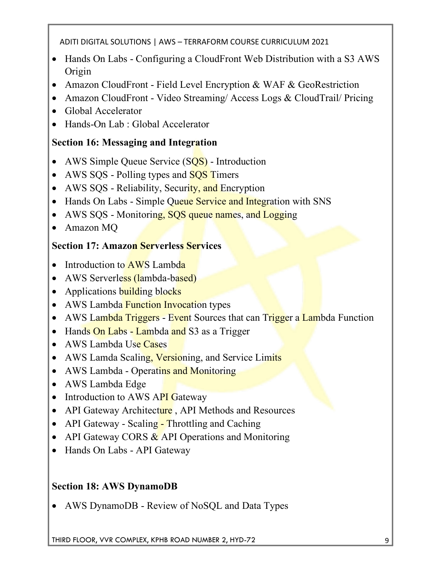- Hands On Labs Configuring a CloudFront Web Distribution with a S3 AWS Origin
- Amazon CloudFront Field Level Encryption & WAF & GeoRestriction
- Amazon CloudFront Video Streaming/ Access Logs & CloudTrail/ Pricing
- Global Accelerator
- Hands-On Lab : Global Accelerator

## **Section 16: Messaging and Integration**

- AWS Simple Queue Service (SQS) Introduction
- AWS SQS Polling types and SQS Timers
- AWS SQS Reliability, Security, and Encryption
- Hands On Labs Simple Queue Service and Integration with SNS
- AWS SQS Monitoring, SQS queue names, and Logging
- Amazon MQ

#### **Section 17: Amazon Serverless Services**

- Introduction to  $\overline{AWS}$  Lambda
- AWS Serverless (lambda-based)
- Applications building blocks
- AWS Lambda Function Invocation types
- AWS Lambda Triggers Event Sources that can Trigger a Lambda Function
- Hands On Labs Lambda and S3 as a Trigger
- AWS Lambda Use Cases
- AWS Lamda Scaling, Versioning, and Service Limits
- AWS Lambda Operatins and Monitoring
- AWS Lambda Edge
- Introduction to AWS API Gateway
- API Gateway Architecture, API Methods and Resources
- API Gateway Scaling Throttling and Caching
- API Gateway CORS  $&$  API Operations and Monitoring
- Hands On Labs API Gateway

## **Section 18: AWS DynamoDB**

• AWS DynamoDB - Review of NoSQL and Data Types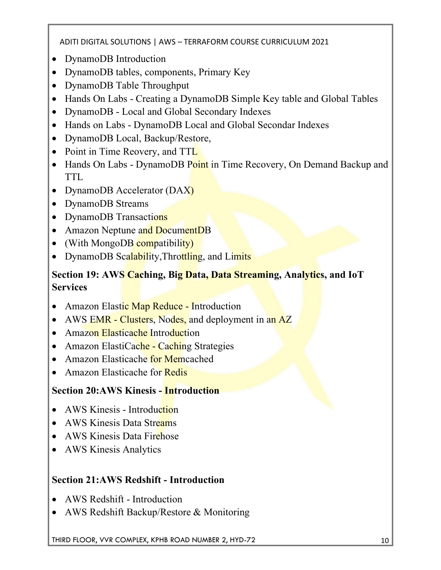- DynamoDB Introduction
- DynamoDB tables, components, Primary Key
- DynamoDB Table Throughput
- Hands On Labs Creating a DynamoDB Simple Key table and Global Tables
- DynamoDB Local and Global Secondary Indexes
- Hands on Labs DynamoDB Local and Global Secondar Indexes
- DynamoDB Local, Backup/Restore,
- Point in Time Reovery, and TTL
- Hands On Labs DynamoDB Point in Time Recovery, On Demand Backup and TTL
- DynamoDB Accelerator (DAX)
- DynamoDB Streams
- DynamoDB Transactions
- Amazon Neptune and DocumentDB
- (With MongoDB compatibility)
- DynamoDB Scalability, Throttling, and Limits

#### **Section 19: AWS Caching, Big Data, Data Streaming, Analytics, and IoT Services**

- Amazon Elastic Map Reduce Introduction
- AWS EMR Clusters, Nodes, and deployment in an AZ
- Amazon Elasticache Introduction
- Amazon ElastiCache Caching Strategies
- Amazon Elasticache for Memcached
- Amazon Elasticache for Redis

#### **Section 20:AWS Kinesis - Introduction**

- AWS Kinesis Introduction
- AWS Kinesis Data Streams
- AWS Kinesis Data Firehose
- AWS Kinesis Analytics

#### **Section 21:AWS Redshift - Introduction**

- AWS Redshift Introduction
- AWS Redshift Backup/Restore & Monitoring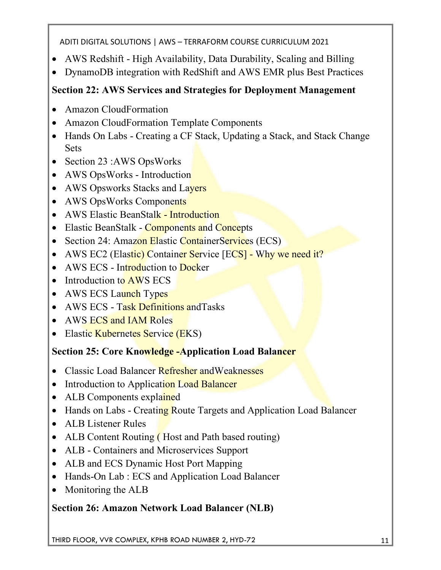- AWS Redshift High Availability, Data Durability, Scaling and Billing
- DynamoDB integration with RedShift and AWS EMR plus Best Practices

## **Section 22: AWS Services and Strategies for Deployment Management**

- Amazon CloudFormation
- Amazon CloudFormation Template Components
- Hands On Labs Creating a CF Stack, Updating a Stack, and Stack Change Sets
- Section 23 :AWS Ops Works
- AWS OpsWorks Introduction
- AWS Opsworks Stacks and Layers
- AWS OpsWorks Components
- AWS Elastic BeanStalk Introduction
- Elastic BeanStalk Components and Concepts
- Section 24: Amazon Elastic Container Services (ECS)
- AWS EC2 (Elastic) Container Service [ECS] Why we need it?
- AWS ECS Introduction to Docker
- Introduction to  $\angle$  AWS ECS
- AWS ECS Launch Types
- AWS ECS Task Definitions and Tasks
- AWS ECS and IAM Roles
- Elastic Kubernetes Service (EKS)

## **Section 25: Core Knowledge -Application Load Balancer**

- Classic Load Balancer Refresher and Weaknesses
- Introduction to Application Load Balancer
- ALB Components explained
- Hands on Labs Creating Route Targets and Application Load Balancer
- ALB Listener Rules
- ALB Content Routing (Host and Path based routing)
- ALB Containers and Microservices Support
- ALB and ECS Dynamic Host Port Mapping
- Hands-On Lab : ECS and Application Load Balancer
- Monitoring the ALB

## **Section 26: Amazon Network Load Balancer (NLB)**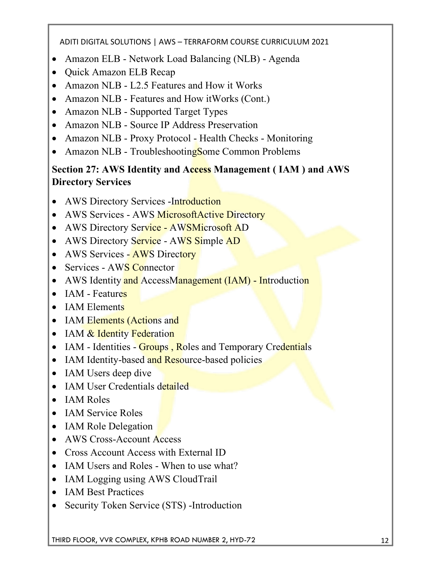- Amazon ELB Network Load Balancing (NLB) Agenda
- Quick Amazon ELB Recap
- Amazon NLB L2.5 Features and How it Works
- Amazon NLB Features and How itWorks (Cont.)
- Amazon NLB Supported Target Types
- Amazon NLB Source IP Address Preservation
- Amazon NLB Proxy Protocol Health Checks Monitoring
- Amazon NLB Troubleshooting Some Common Problems

#### **Section 27: AWS Identity and Access Management ( IAM ) and AWS Directory Services**

- AWS Directory Services -Introduction
- AWS Services AWS Microsoft Active Directory
- AWS Directory Service AWSMicrosoft AD
- AWS Directory Service AWS Simple AD
- AWS Services AWS Directory
- Services AWS Connector
- AWS Identity and AccessManagement (IAM) Introduction
- $\bullet$  IAM Features
- IAM Elements
- IAM Elements (Actions and
- IAM & Identity Federation
- IAM Identities Groups, Roles and Temporary Credentials
- IAM Identity-based and Resource-based policies
- IAM Users deep dive
- IAM User Credentials detailed
- IAM Roles
- IAM Service Roles
- IAM Role Delegation
- AWS Cross-Account Access
- Cross Account Access with External ID
- IAM Users and Roles When to use what?
- IAM Logging using AWS CloudTrail
- IAM Best Practices
- Security Token Service (STS) -Introduction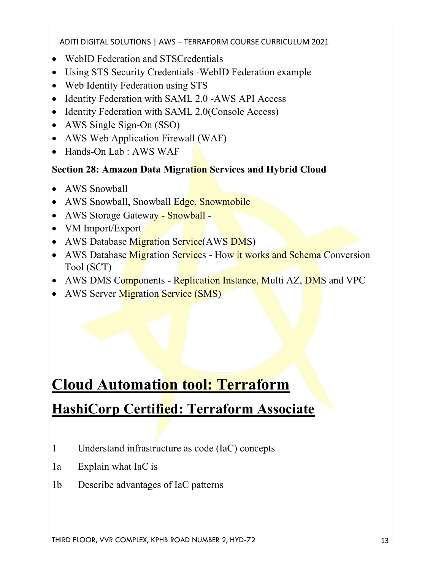- WebID Federation and STSCredentials
- Using STS Security Credentials -WebID Federation example
- Web Identity Federation using STS
- Identity Federation with SAML 2.0 -AWS API Access
- Identity Federation with SAML 2.0(Console Access)
- AWS Single Sign-On (SSO)
- AWS Web Application Firewall (WAF)
- Hands-On Lab : AWS WAF

#### **Section 28: Amazon Data Migration Services and Hybrid Cloud**

- AWS Snowball
- AWS Snowball, Snowball Edge, Snowmobile
- AWS Storage Gateway Snowball -
- VM Import/Export
- AWS Database Migration Service (AWS DMS)
- AWS Database Migration Services How it works and Schema Conversion Tool (SCT)
- AWS DMS Components Replication Instance, Multi AZ, DMS and VPC
- AWS Server Migration Service (SMS)

# **Cloud Automation tool: Terraform HashiCorp Certified: Terraform Associate**

- 1 Understand infrastructure as code (IaC) concepts
- 1a Explain what IaC is
- 1b Describe advantages of IaC patterns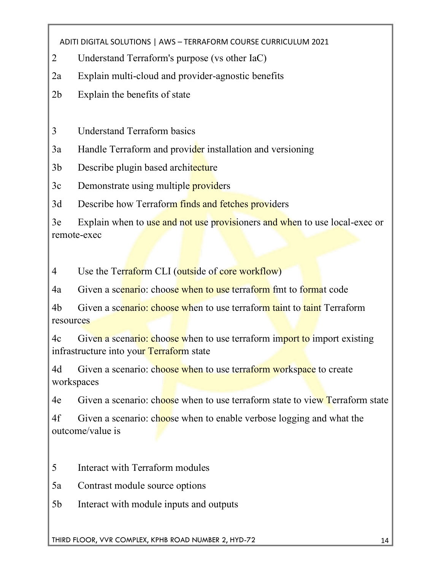- 2 Understand Terraform's purpose (vs other IaC)
- 2a Explain multi-cloud and provider-agnostic benefits
- 2b Explain the benefits of state

3 Understand Terraform basics

3a Handle Terraform and provider installation and versioning

3b Describe plugin based architecture

3c Demonstrate using multiple **providers** 

3d Describe how Terraform finds and fetches providers

3e Explain when to use and not use provisioners and when to use local-exec or remote-exec

4 Use the Terraform CLI (outside of core workflow)

4a Given a scenario: choose when to use terraform fmt to format code

4b Given a scenario: choose when to use terraform taint to taint Terraform resources

4c Given a scenario: choose when to use terraform import to import existing infrastructure into your Terraform state

4d Given a scenario: choose when to use terraform workspace to create workspaces

4e Given a scenario: choose when to use terraform state to view Terraform state

4f Given a scenario: choose when to enable verbose logging and what the outcome/value is

5 Interact with Terraform modules

5a Contrast module source options

5b Interact with module inputs and outputs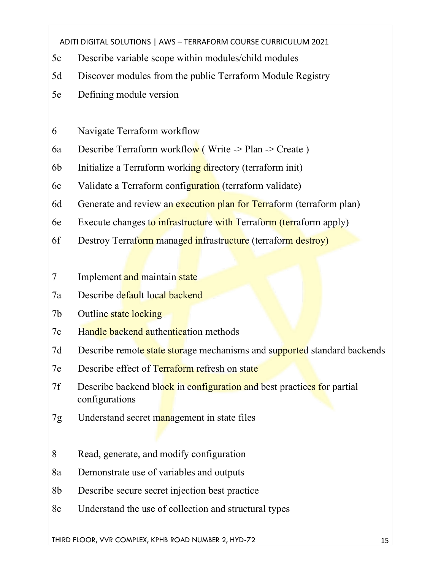- 5c Describe variable scope within modules/child modules
- 5d Discover modules from the public Terraform Module Registry
- 5e Defining module version
- 6 Navigate Terraform workflow
- 6a Describe Terraform workflow (Write  $\rightarrow$  Plan  $\rightarrow$  Create)
- 6b Initialize a Terraform working directory (terraform init)
- 6c Validate a Terraform configuration (terraform validate)
- 6d Generate and review an execution plan for Terraform (terraform plan)
- 6e Execute changes to infrastructure with Terraform (terraform apply)
- 6f Destroy Terraform managed infrastructure (terraform destroy)

#### 7 Implement and maintain state

- 7a Describe default local backend
- 7b Outline state locking
- 7c Handle backend authentication methods
- 7d Describe remote state storage mechanisms and supported standard backends
- 7e Describe effect of Terraform refresh on state
- 7f Describe backend block in configuration and best practices for partial configurations
- 7g Understand secret management in state files
- 8 Read, generate, and modify configuration
- 8a Demonstrate use of variables and outputs
- 8b Describe secure secret injection best practice
- 8c Understand the use of collection and structural types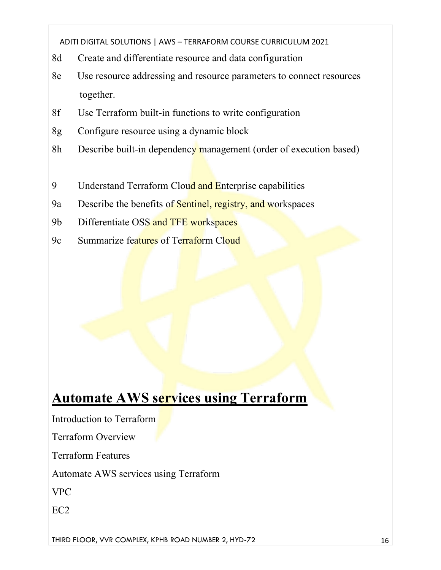- 8d Create and differentiate resource and data configuration
- 8e Use resource addressing and resource parameters to connect resources together.
- 8f Use Terraform built-in functions to write configuration
- 8g Configure resource using a dynamic block
- 8h Describe built-in dependency management (order of execution based)
- 9 Understand Terraform Cloud and Enterprise capabilities
- 9a Describe the benefits of Sentinel, registry, and workspaces
- 9b Differentiate OSS and TFE workspaces
- 9c Summarize features of Terraform Cloud

## **Automate AWS services using Terraform**

Introduction to Terraform

Terraform Overview

Terraform Features

Automate AWS services using Terraform

VPC

EC2